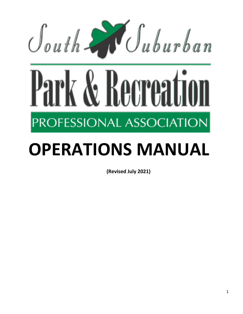

# **OPERATIONS MANUAL**

**(Revised July 2021)**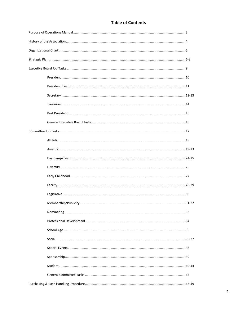# **Table of Contents**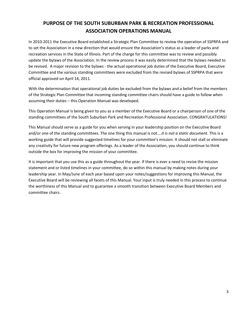# **PURPOSE OF THE SOUTH SUBURBAN PARK & RECREATION PROFESSIONAL ASSOCIATION OPERATIONS MANUAL**

In 2010-2011 the Executive Board established a Strategic Plan Committee to review the operation of SSPRPA and to set the Association in a new direction that would ensure the Association's status as a leader of parks and recreation services in the State of Illinois. Part of the charge for this committee was to review and possibly update the bylaws of the Association. In the review process it was easily determined that the bylaws needed to be revised. A major revision to the bylaws - the actual operational job duties of the Executive Board, Executive Committee and the various standing committees were excluded from the revised bylaws of SSPRPA that were official approved on April 14, 2011.

With the determination that operational job duties be excluded from the bylaws and a belief from the members of the Strategic Plan Committee that incoming standing committee chairs should have a guide to follow when assuming their duties – this Operation Manual was developed.

This Operation Manual is being given to you as a member of the Executive Board or a chairperson of one of the standing committees of the South Suburban Park and Recreation Professional Association. CONGRATULATIONS!

This Manual should serve as a guide for you when serving in your leadership position on the Executive Board and/or one of the standing committees. The one thing this manual is not….*it is not a static document.* This is a working guide that will provide suggested timelines for your committee's mission. It should not stall or eliminate any creativity for future new program offerings. As a leader of the Association, you should continue to think outside the box for improving the mission of your committee.

It is important that you use this as a guide throughout the year. If there is ever a need to revise the mission statement and or listed timelines in your committee, do so within this manual by making notes during your leadership year. In May/June of each year based upon your notes/suggestions for improving this Manual, the Executive Board will be reviewing all facets of this Manual. Your input is truly needed in this process to continue the worthiness of this Manual and to guarantee a smooth transition between Executive Board Members and committee chairs.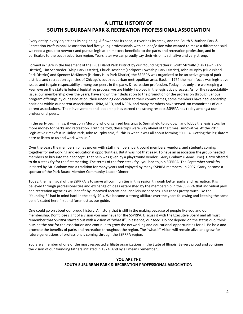# **A LITTLE HISTORY OF SOUTH SUBURBAN PARK & RECREATION PROFESSIONAL ASSOCIATION**

Every entity, every object has its beginning. A flower has its seed, a river has its creek, and the South Suburban Park & Recreation Professional Association had five young professionals with an idea/vision who wanted to make a difference said, we need a group to network and pursue legislation matters beneficial to the parks and recreation profession, and in particular, to the south suburban region. Years later we can proudly say their vision is still alive and very strong.

Formed in 1974 in the basement of the Blue Island Park District by our "founding fathers" Scott McNally (Oak Lawn Park District), Tim Schroeder (Alsip Park District), Chuck Hoscheit (Lockport Township Park District), John Murphy (Blue Island Park District) and Spencer McKinney (Hickory Hills Park District) the SSPRPA was organized to be an active group of park districts and recreation agencies of Chicago's south suburban metropolitan area. Back in 1974 the main focus was legislative issues and to gain respectability among our peers in the parks & recreation profession. Today, not only are we keeping a keen eye on the state & federal legislative process, we are highly involved in the legislative process. As for the respectability issue, our membership over the years, have shown their dedication to the promotion of the profession through various program offerings by our association, their unending dedication to their communities, some members have had leadership positions within our parent associations - IPRA, IAPD, and NRPA, and many members have served on committees of our parent associations. Their involvement and leadership has earned the strong respect SSPRPA has today amongst our professional peers.

In the early beginnings, it was John Murphy who organized bus trips to Springfield to go down and lobby the legislators for more money for parks and recreation. Truth be told, these trips were way ahead of the times…innovative. At the 2011 Legislative Breakfast in Tinley Park, John Murphy said, "…this is what it was all about forming SSPRPA. Getting the legislators here to listen to us and work with us."

Over the years the membership has grown with staff members, park board members, vendors, and students coming together for networking and educational opportunities. But it was not that easy. To have an association the group needed members to buy into their concept. That help was given by a playground vendor, Garry Graham (Game Time). Garry offered to do a steak fry for the first meeting. The terms of the free steak fry…you had to join SSPRPA. The September steak fry initiated by Mr. Graham was a tradition for many years and enjoyed by many SSPRPA members. In 2007, Garry became a sponsor of the Park Board Member Community Leader Dinner.

Today, the main goal of the SSPRPA is to serve all communities in this region through better parks and recreation. It is believed through professional ties and exchange of ideas established by the membership in the SSPRPA that individual park and recreation agencies will benefit by improved recreational and leisure services. This reads pretty much like the "founding 5" had in mind back in the early 70's. We became a strong affiliate over the years following and keeping the same beliefs stated here first and foremost as our guide.

One could go on about our proud history. A history that is still in the making because of people like you and our membership. Don't lose sight of a vision you may have for the SSPRPA. Discuss it with the Executive Board and all must remember that SSPRPA started out with a vision of "what if", in essence, our seed. Do not depend on the status quo, think outside the box for the association and continue to grow the networking and educational opportunities for all. Be bold and promote the benefits of parks and recreation throughout the region. The "what if" vision will remain alive and grow for future generations of professionals coming through the SSPRPA region.

You are a member of one of the most respected affiliate organizations in the State of Illinois. Be very proud and continue the vision of our founding fathers initiated in 1974. And by all means remember...

#### **YOU ARE THE SOUTH SUBURBAN PARK & RECREATION PROFESSIONAL ASSOCIATION**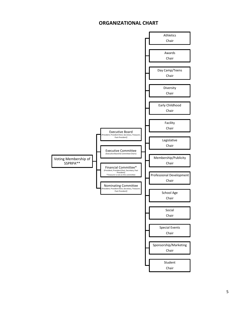# **ORGANIZATIONAL CHART**

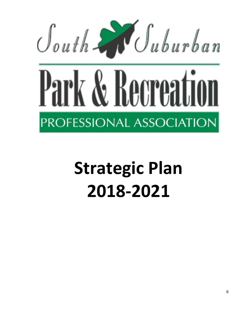

# **Strategic Plan 2018-2021**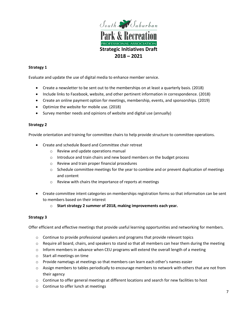

#### **Strategy 1**

Evaluate and update the use of digital media to enhance member service.

- Create a newsletter to be sent out to the memberships on at least a quarterly basis. (2018)
- Include links to Facebook, website, and other pertinent information in correspondence. (2018)
- Create an online payment option for meetings, membership, events, and sponsorships. (2019)
- Optimize the website for mobile use. (2018)
- Survey member needs and opinions of website and digital use (annually)

#### **Strategy 2**

Provide orientation and training for committee chairs to help provide structure to committee operations.

- Create and schedule Board and Committee chair retreat
	- o Review and update operations manual
	- $\circ$  Introduce and train chairs and new board members on the budget process
	- o Review and train proper financial procedures
	- $\circ$  Schedule committee meetings for the year to combine and or prevent duplication of meetings and content
	- o Review with chairs the importance of reports at meetings
- Create committee intent categories on memberships registration forms so that information can be sent to members based on their interest
	- o **Start strategy 2 summer of 2018, making improvements each year.**

#### **Strategy 3**

Offer efficient and effective meetings that provide useful learning opportunities and networking for members.

- $\circ$  Continue to provide professional speakers and programs that provide relevant topics
- $\circ$  Require all board, chairs, and speakers to stand so that all members can hear them during the meeting
- $\circ$  Inform members in advance when CEU programs will extend the overall length of a meeting
- o Start all meetings on time
- $\circ$  Provide nametags at meetings so that members can learn each other's names easier
- o Assign members to tables periodically to encourage members to network with others that are not from their agency
- o Continue to offer general meetings at different locations and search for new facilities to host
- o Continue to offer lunch at meetings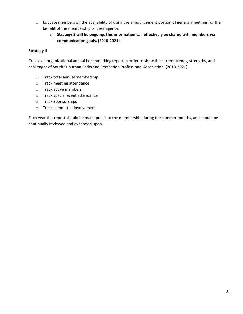- o Educate members on the availability of using the announcement portion of general meetings for the benefit of the membership or their agency.
	- o **Strategy 3 will be ongoing, this information can effectively be shared with members via communication goals. (2018-2021)**

#### **Strategy 4**

Create an organizational annual benchmarking report in order to show the current trends, strengths, and challenges of South Suburban Parks and Recreation Professional Association. (2018-2021)

- o Track total annual membership
- o Track meeting attendance
- o Track active members
- o Track special event attendance
- o Track Sponsorships
- o Track committee involvement

Each year this report should be made public to the membership during the summer months, and should be continually reviewed and expanded upon.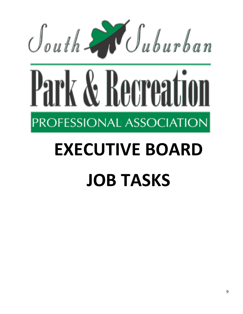

# **EXECUTIVE BOARD JOB TASKS**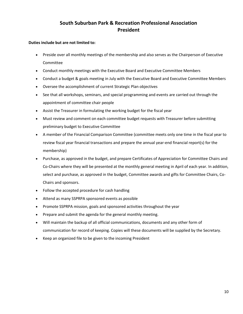# **South Suburban Park & Recreation Professional Association President**

- Preside over all monthly meetings of the membership and also serves as the Chairperson of Executive Committee
- Conduct monthly meetings with the Executive Board and Executive Committee Members
- Conduct a budget & goals meeting in July with the Executive Board and Executive Committee Members
- Oversee the accomplishment of current Strategic Plan objectives
- See that all workshops, seminars, and special programming and events are carried out through the appointment of committee chair people
- Assist the Treasurer in formulating the working budget for the fiscal year
- Must review and comment on each committee budget requests with Treasurer before submitting preliminary budget to Executive Committee
- A member of the Financial Comparison Committee (committee meets only one time in the fiscal year to review fiscal year financial transactions and prepare the annual year-end financial report(s) for the membership)
- Purchase, as approved in the budget, and prepare Certificates of Appreciation for Committee Chairs and Co-Chairs where they will be presented at the monthly general meeting in April of each year. In addition, select and purchase, as approved in the budget, Committee awards and gifts for Committee Chairs, Co-Chairs and sponsors.
- Follow the accepted procedure for cash handling
- Attend as many SSPRPA sponsored events as possible
- Promote SSPRPA mission, goals and sponsored activities throughout the year
- Prepare and submit the agenda for the general monthly meeting.
- Will maintain the backup of all official communications, documents and any other form of communication for record of keeping. Copies will these documents will be supplied by the Secretary.
- Keep an organized file to be given to the incoming President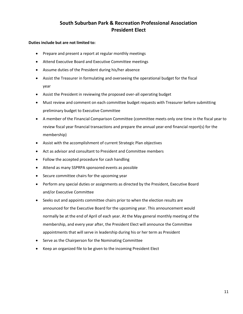# **South Suburban Park & Recreation Professional Association President Elect**

- Prepare and present a report at regular monthly meetings
- Attend Executive Board and Executive Committee meetings
- Assume duties of the President during his/her absence
- Assist the Treasurer in formulating and overseeing the operational budget for the fiscal year
- Assist the President in reviewing the proposed over-all operating budget
- Must review and comment on each committee budget requests with Treasurer before submitting preliminary budget to Executive Committee
- A member of the Financial Comparison Committee (committee meets only one time in the fiscal year to review fiscal year financial transactions and prepare the annual year-end financial report(s) for the membership)
- Assist with the accomplishment of current Strategic Plan objectives
- Act as advisor and consultant to President and Committee members
- Follow the accepted procedure for cash handling
- Attend as many SSPRPA sponsored events as possible
- Secure committee chairs for the upcoming year
- Perform any special duties or assignments as directed by the President, Executive Board and/or Executive Committee
- Seeks out and appoints committee chairs prior to when the election results are announced for the Executive Board for the upcoming year. This announcement would normally be at the end of April of each year. At the May general monthly meeting of the membership, and every year after, the President Elect will announce the Committee appointments that will serve in leadership during his or her term as President
- Serve as the Chairperson for the Nominating Committee
- Keep an organized file to be given to the incoming President Elect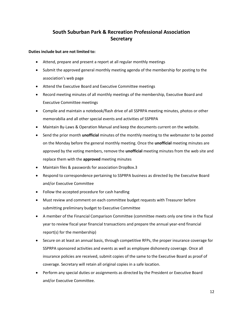# **South Suburban Park & Recreation Professional Association Secretary**

- Attend, prepare and present a report at all regular monthly meetings
- Submit the approved general monthly meeting agenda of the membership for posting to the association's web page
- Attend the Executive Board and Executive Committee meetings
- Record meeting minutes of all monthly meetings of the membership, Executive Board and Executive Committee meetings
- Compile and maintain a notebook/flash drive of all SSPRPA meeting minutes, photos or other memorabilia and all other special events and activities of SSPRPA
- Maintain By-Laws & Operation Manual and keep the documents current on the website.
- Send the prior month **unofficial** minutes of the monthly meeting to the webmaster to be posted on the Monday before the general monthly meeting. Once the **unofficial** meeting minutes are approved by the voting members, remove the **unofficial** meeting minutes from the web site and replace them with the **approved** meeting minutes
- Maintain files & passwords for association DropBox.3
- Respond to correspondence pertaining to SSPRPA business as directed by the Executive Board and/or Executive Committee
- Follow the accepted procedure for cash handling
- Must review and comment on each committee budget requests with Treasurer before submitting preliminary budget to Executive Committee
- A member of the Financial Comparison Committee (committee meets only one time in the fiscal year to review fiscal year financial transactions and prepare the annual year-end financial report(s) for the membership)
- Secure on at least an annual basis, through competitive RFPs, the proper insurance coverage for SSPRPA sponsored activities and events as well as employee dishonesty coverage. Once all insurance policies are received, submit copies of the same to the Executive Board as proof of coverage. Secretary will retain all original copies in a safe location.
- Perform any special duties or assignments as directed by the President or Executive Board and/or Executive Committee.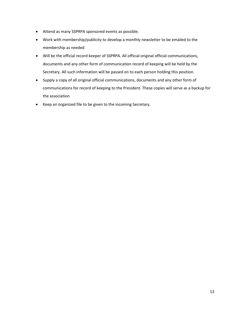- Attend as many SSPRPA sponsored events as possible.
- Work with membership/publicity to develop a monthly newsletter to be emailed to the membership as needed
- Will be the official record keeper of SSPRPA. All official original official communications, documents and any other form of communication record of keeping will be held by the Secretary. All such information will be passed on to each person holding this position.
- Supply a copy of all original official communications, documents and any other form of communications for record of keeping to the President. These copies will serve as a backup for the association
- Keep an organized file to be given to the incoming Secretary.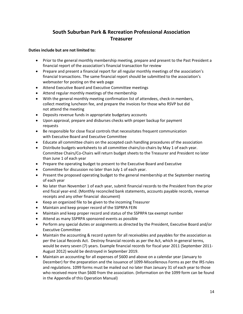# **South Suburban Park & Recreation Professional Association Treasurer**

- Prior to the general monthly membership meeting, prepare and present to the Past President a financial report of the association's financial transaction for review
- Prepare and present a financial report for all regular monthly meetings of the association's financial transactions. The same financial report should be submitted to the association's webmaster for posting on the web page
- Attend Executive Board and Executive Committee meetings
- Attend regular monthly meetings of the membership
- With the general monthly meeting confirmation list of attendees, check-in members, collect meeting luncheon fee, and prepare the invoices for those who RSVP but did not attend the meeting
- Deposits revenue funds in appropriate budgetary accounts
- Upon approval, prepare and disburses checks with proper backup for payment requests
- Be responsible for close fiscal controls that necessitates frequent communication with Executive Board and Executive Committee
- Educate all committee chairs on the accepted cash handling procedures of the association
- Distribute budgets worksheets to all committee chairs/co-chairs by May 1 of each year. Committee Chairs/Co-Chairs will return budget sheets to the Treasurer and President no later than June 1 of each year
- Prepare the operating budget to present to the Executive Board and Executive
- Committee for discussion no later than July 1 of each year.
- Present the proposed operating budget to the general membership at the September meeting of each year
- No later than November 1 of each year, submit financial records to the President from the prior end fiscal year-end. (Monthly reconciled bank statements, accounts payable records, revenue receipts and any other financial document)
- Keep an organized file to be given to the incoming Treasurer
- Maintain and keep proper record of the SSPRPA FEIN
- Maintain and keep proper record and status of the SSPRPA tax exempt number
- Attend as many SSPRPA sponsored events as possible
- Perform any special duties or assignments as directed by the President, Executive Board and/or Executive Committee
- Maintain the accounting & record system for all receivables and payables for the association as per the Local Records Act. Destroy financial records as per the Act, which in general terms, would be every seven (7) years. Example financial records for fiscal year 2011 (September 2011- August 2012) would be destroyed in September 2019.
- Maintain an accounting for all expenses of \$600 and above on a calendar year (January to December) for the preparation and the issuance of 1099-Miscellenous Forms as per the IRS rules and regulations. 1099 forms must be mailed out no later than January 31 of each year to those who received more than \$600 from the association. (Information on the 1099 form can be found in the Appendix of this Operation Manual)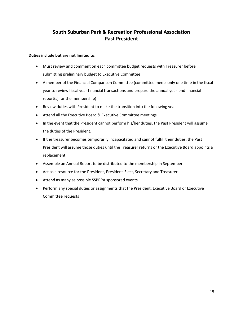# **South Suburban Park & Recreation Professional Association Past President**

- Must review and comment on each committee budget requests with Treasurer before submitting preliminary budget to Executive Committee
- A member of the Financial Comparison Committee (committee meets only one time in the fiscal year to review fiscal year financial transactions and prepare the annual year-end financial report(s) for the membership)
- Review duties with President to make the transition into the following year
- Attend all the Executive Board & Executive Committee meetings
- In the event that the President cannot perform his/her duties, the Past President will assume the duties of the President.
- If the treasurer becomes temporarily incapacitated and cannot fulfill their duties, the Past President will assume those duties until the Treasurer returns or the Executive Board appoints a replacement.
- Assemble an Annual Report to be distributed to the membership in September
- Act as a resource for the President, President-Elect, Secretary and Treasurer
- Attend as many as possible SSPRPA sponsored events
- Perform any special duties or assignments that the President, Executive Board or Executive Committee requests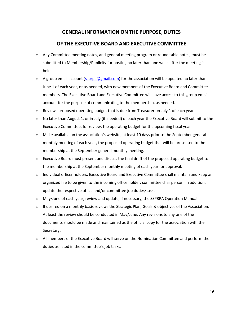# **GENERAL INFORMATION ON THE PURPOSE, DUTIES**

#### **OF THE EXECUTIVE BOARD AND EXECUTIVE COMMITTEE**

- $\circ$  Any Committee meeting notes, and general meeting program or round table notes, must be submitted to Membership/Publicity for posting no later than one week after the meeting is held.
- $\circ$  A group email account [\(ssprpa@gmail.com\)](mailto:ssprpa@gmail.com) for the association will be updated no later than June 1 of each year, or as needed, with new members of the Executive Board and Committee members. The Executive Board and Executive Committee will have access to this group email account for the purpose of communicating to the membership, as needed.
- $\circ$  Reviews proposed operating budget that is due from Treasurer on July 1 of each year
- $\circ$  No later than August 1, or in July (if needed) of each year the Executive Board will submit to the Executive Committee, for review, the operating budget for the upcoming fiscal year
- o Make available on the association's website, at least 10 days prior to the September general monthly meeting of each year, the proposed operating budget that will be presented to the membership at the September general monthly meeting.
- $\circ$  Executive Board must present and discuss the final draft of the proposed operating budget to the membership at the September monthly meeting of each year for approval.
- o Individual officer holders, Executive Board and Executive Committee shall maintain and keep an organized file to be given to the incoming office holder, committee chairperson. In addition, update the respective office and/or committee job duties/tasks.
- $\circ$  May/June of each year, review and update, if necessary, the SSPRPA Operation Manual
- $\circ$  If desired on a monthly basis reviews the Strategic Plan, Goals & objectives of the Association. At least the review should be conducted in May/June. Any revisions to any one of the documents should be made and maintained as the official copy for the association with the Secretary.
- o All members of the Executive Board will serve on the Nomination Committee and perform the duties as listed in the committee's job tasks.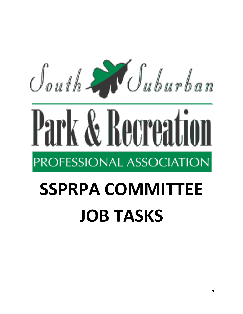

# Park & Recreation PROFESSIONAL ASSOCIATION

# **SSPRPA COMMITTEE JOB TASKS**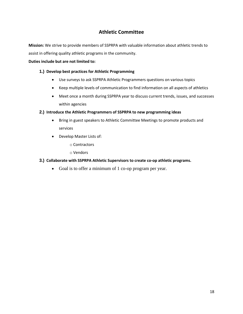# **Athletic Committee**

**Mission:** We strive to provide members of SSPRPA with valuable information about athletic trends to assist in offering quality athletic programs in the community.

#### **Duties include but are not limited to:**

#### **1.) Develop best practices for Athletic Programming**

- Use surveys to ask SSPRPA Athletic Programmers questions on various topics
- Keep multiple levels of communication to find information on all aspects of athletics
- Meet once a month during SSPRPA year to discuss current trends, issues, and successes within agencies

#### **2.) Introduce the Athletic Programmers of SSPRPA to new programming ideas**

- Bring in guest speakers to Athletic Committee Meetings to promote products and services
- Develop Master Lists of:
	- o Contractors
	- o Vendors

#### **3.) Collaborate with SSPRPA Athletic Supervisors to create co-op athletic programs.**

• Goal is to offer a minimum of 1 co-op program per year.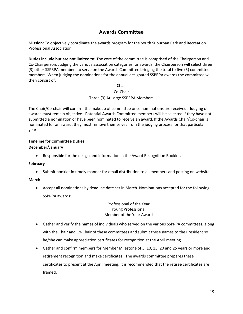# **Awards Committee**

**Mission:** To objectively coordinate the awards program for the South Suburban Park and Recreation Professional Association.

**Duties include but are not limited to:** The core of the committee is comprised of the Chairperson and Co-Chairperson. Judging the various association categories for awards, the Chairperson will select three (3) other SSPRPA members to serve on the Awards Committee bringing the total to five (5) committee members. When judging the nominations for the annual designated SSPRPA awards the committee will then consist of:

#### Chair Co-Chair Three (3) At Large SSPRPA Members

The Chair/Co-chair will confirm the makeup of committee once nominations are received. Judging of awards must remain objective. Potential Awards Committee members will be selected if they have not submitted a nomination or have been nominated to receive an award. If the Awards Chair/Co-chair is nominated for an award, they must remove themselves from the judging process for that particular year.

#### **Timeline for Committee Duties:**

#### **December/January**

• Responsible for the design and information in the Award Recognition Booklet.

#### **February**

• Submit booklet in timely manner for email distribution to all members and posting on website.

#### **March**

• Accept all nominations by deadline date set in March. Nominations accepted for the following SSPRPA awards:

#### Professional of the Year Young Professional Member of the Year Award

- Gather and verify the names of individuals who served on the various SSPRPA committees, along with the Chair and Co-Chair of these committees and submit these names to the President so he/she can make appreciation certificates for recognition at the April meeting.
- Gather and confirm members for Member Milestone of 5, 10, 15, 20 and 25 years or more and retirement recognition and make certificates. The awards committee prepares these certificates to present at the April meeting. It is recommended that the retiree certificates are framed.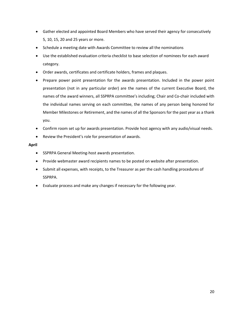- Gather elected and appointed Board Members who have served their agency for consecutively 5, 10, 15, 20 and 25 years or more.
- Schedule a meeting date with Awards Committee to review all the nominations
- Use the established evaluation criteria checklist to base selection of nominees for each award category.
- Order awards, certificates and certificate holders, frames and plaques.
- Prepare power point presentation for the awards presentation. Included in the power point presentation (not in any particular order) are the names of the current Executive Board, the names of the award winners, all SSPRPA committee's including; Chair and Co-chair included with the individual names serving on each committee, the names of any person being honored for Member Milestones or Retirement, and the names of all the Sponsors for the past year as a thank you.
- Confirm room set up for awards presentation. Provide host agency with any audio/visual needs.
- Review the President's role for presentation of awards.

#### **April**

- SSPRPA General Meeting-host awards presentation.
- Provide webmaster award recipients names to be posted on website after presentation.
- Submit all expenses, with receipts, to the Treasurer as per the cash handling procedures of SSPRPA.
- Evaluate process and make any changes if necessary for the following year.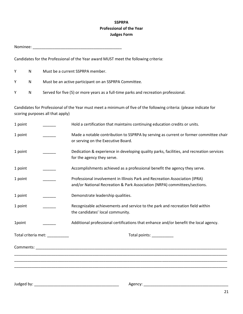## **SSPRPA Professional of the Year Judges Form**

Nominee: \_\_\_\_\_\_\_\_\_\_\_\_\_\_\_\_\_\_\_\_\_\_\_\_\_\_\_\_\_\_\_\_\_\_\_\_\_\_\_\_\_

Candidates for the Professional of the Year award MUST meet the following criteria:

|     | N.  | Must be a current SSPRPA member.                                                    |
|-----|-----|-------------------------------------------------------------------------------------|
| γ.  | N – | Must be an active participant on an SSPRPA Committee.                               |
| ⊇Y. | N.  | Served for five (5) or more years as a full-time parks and recreation professional. |

Candidates for Professional of the Year must meet a minimum of five of the following criteria: (please indicate for scoring purposes all that apply)

| 1 point                        | Hold a certification that maintains continuing education credits or units.                                                                                                                                                    |
|--------------------------------|-------------------------------------------------------------------------------------------------------------------------------------------------------------------------------------------------------------------------------|
| 1 point                        | Made a notable contribution to SSPRPA by serving as current or former committee chair<br>or serving on the Executive Board.                                                                                                   |
| 1 point                        | Dedication & experience in developing quality parks, facilities, and recreation services<br>for the agency they serve.                                                                                                        |
| 1 point                        | Accomplishments achieved as a professional benefit the agency they serve.                                                                                                                                                     |
| 1 point                        | Professional involvement in Illinois Park and Recreation Association (IPRA)<br>and/or National Recreation & Park Association (NRPA) committees/sections.                                                                      |
| 1 point                        | Demonstrate leadership qualities.                                                                                                                                                                                             |
| 1 point                        | Recognizable achievements and service to the park and recreation field within<br>the candidates' local community.                                                                                                             |
| 1point                         | Additional professional certifications that enhance and/or benefit the local agency.                                                                                                                                          |
| Total criteria met: __________ | Total points: Note that the set of the set of the set of the set of the set of the set of the set of the set of the set of the set of the set of the set of the set of the set of the set of the set of the set of the set of |
|                                |                                                                                                                                                                                                                               |
|                                |                                                                                                                                                                                                                               |
|                                |                                                                                                                                                                                                                               |
|                                |                                                                                                                                                                                                                               |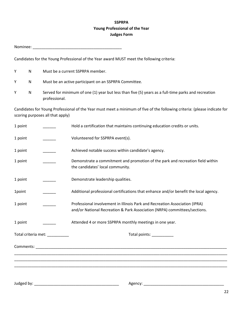## **SSPRPA Young Professional of the Year Judges Form**

|         |           |                                                                                                                      | Nominee: when the contract of the contract of the contract of the contract of the contract of the contract of the contract of the contract of the contract of the contract of the contract of the contract of the contract of |  |
|---------|-----------|----------------------------------------------------------------------------------------------------------------------|-------------------------------------------------------------------------------------------------------------------------------------------------------------------------------------------------------------------------------|--|
|         |           |                                                                                                                      | Candidates for the Young Professional of the Year award MUST meet the following criteria:                                                                                                                                     |  |
| Υ       | ${\sf N}$ |                                                                                                                      | Must be a current SSPRPA member.                                                                                                                                                                                              |  |
| Υ       | N         |                                                                                                                      | Must be an active participant on an SSPRPA Committee.                                                                                                                                                                         |  |
| Υ       | ${\sf N}$ | Served for minimum of one (1) year but less than five (5) years as a full-time parks and recreation<br>professional. |                                                                                                                                                                                                                               |  |
|         |           | scoring purposes all that apply)                                                                                     | Candidates for Young Professional of the Year must meet a minimum of five of the following criteria: (please indicate for                                                                                                     |  |
| 1 point |           |                                                                                                                      | Hold a certification that maintains continuing education credits or units.                                                                                                                                                    |  |
| 1 point |           |                                                                                                                      | Volunteered for SSPRPA event(s).                                                                                                                                                                                              |  |
| 1 point |           |                                                                                                                      | Achieved notable success within candidate's agency.                                                                                                                                                                           |  |
| 1 point |           |                                                                                                                      | Demonstrate a commitment and promotion of the park and recreation field within<br>the candidates' local community.                                                                                                            |  |
| 1 point |           |                                                                                                                      | Demonstrate leadership qualities.                                                                                                                                                                                             |  |
| 1point  |           |                                                                                                                      | Additional professional certifications that enhance and/or benefit the local agency.                                                                                                                                          |  |
| 1 point |           |                                                                                                                      | Professional involvement in Illinois Park and Recreation Association (IPRA)<br>and/or National Recreation & Park Association (NRPA) committees/sections.                                                                      |  |
| 1 point |           |                                                                                                                      | Attended 4 or more SSPRPA monthly meetings in one year.                                                                                                                                                                       |  |
|         |           | Total criteria met: __________                                                                                       | Total points: ___________                                                                                                                                                                                                     |  |
|         |           |                                                                                                                      |                                                                                                                                                                                                                               |  |
|         |           |                                                                                                                      |                                                                                                                                                                                                                               |  |
|         |           |                                                                                                                      |                                                                                                                                                                                                                               |  |

Judged by: \_\_\_\_\_\_\_\_\_\_\_\_\_\_\_\_\_\_\_\_\_\_\_\_\_\_\_\_\_\_\_\_\_\_\_\_\_\_\_ Agency: \_\_\_\_\_\_\_\_\_\_\_\_\_\_\_\_\_\_\_\_\_\_\_\_\_\_\_\_\_\_\_\_\_\_\_\_\_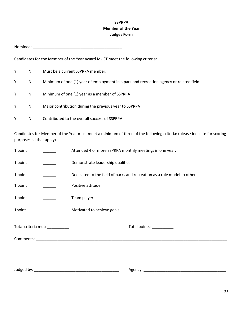## **SSPRPA Member of the Year Judges Form**

Nominee: \_\_\_\_\_\_\_\_\_\_\_\_\_\_\_\_\_\_\_\_\_\_\_\_\_\_\_\_\_\_\_\_\_\_\_\_\_\_\_\_\_

Candidates for the Member of the Year award MUST meet the following criteria:

| Y | N | Must be a current SSPRPA member.                                                        |
|---|---|-----------------------------------------------------------------------------------------|
| Y | N | Minimum of one (1) year of employment in a park and recreation agency or related field. |
| Y | N | Minimum of one (1) year as a member of SSPRPA                                           |
| Y | N | Major contribution during the previous year to SSPRPA                                   |
|   | N | Contributed to the overall success of SSPRPA                                            |

Candidates for Member of the Year must meet a minimum of three of the following criteria: (please indicate for scoring purposes all that apply)

| 1 point |                                | Attended 4 or more SSPRPA monthly meetings in one year.                   |  |
|---------|--------------------------------|---------------------------------------------------------------------------|--|
| 1 point |                                | Demonstrate leadership qualities.                                         |  |
| 1 point |                                | Dedicated to the field of parks and recreation as a role model to others. |  |
| 1 point |                                | Positive attitude.                                                        |  |
| 1 point |                                | Team player                                                               |  |
| 1point  |                                | Motivated to achieve goals                                                |  |
|         | Total criteria met: __________ | Total points: ___________                                                 |  |
|         |                                |                                                                           |  |
|         |                                |                                                                           |  |
|         |                                |                                                                           |  |
|         |                                |                                                                           |  |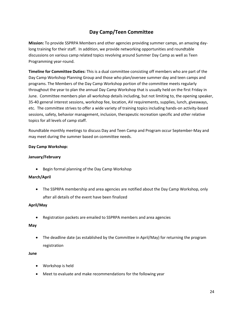# **Day Camp/Teen Committee**

**Mission:** To provide SSPRPA Members and other agencies providing summer camps, an amazing daylong training for their staff. In addition, we provide networking opportunities and roundtable discussions on various camp related topics revolving around Summer Day Camp as well as Teen Programming year-round.

**Timeline for Committee Duties:** This is a dual committee consisting off members who are part of the Day Camp Workshop Planning Group and those who plan/oversee summer day and teen camps and programs. The Members of the Day Camp Workshop portion of the committee meets regularly throughout the year to plan the annual Day Camp Workshop that is usually held on the first Friday in June. Committee members plan all workshop details including, but not limiting to, the opening speaker, 35-40 general interest sessions, workshop fee, location, AV requirements, supplies, lunch, giveaways, etc. The committee strives to offer a wide variety of training topics including hands-on activity-based sessions, safety, behavior management, inclusion, therapeutic recreation specific and other relative topics for all levels of camp staff.

Roundtable monthly meetings to discuss Day and Teen Camp and Program occur September-May and may meet during the summer based on committee needs.

#### **Day Camp Workshop:**

#### **January/February**

• Begin formal planning of the Day Camp Workshop

#### **March/April**

• The SSPRPA membership and area agencies are notified about the Day Camp Workshop, only after all details of the event have been finalized

#### **April/May**

• Registration packets are emailed to SSPRPA members and area agencies

#### **May**

• The deadline date (as established by the Committee in April/May) for returning the program registration

#### **June**

- Workshop is held
- Meet to evaluate and make recommendations for the following year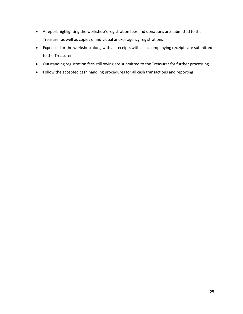- A report highlighting the workshop's registration fees and donations are submitted to the Treasurer as well as copies of individual and/or agency registrations
- Expenses for the workshop along with all receipts with all accompanying receipts are submitted to the Treasurer
- Outstanding registration fees still owing are submitted to the Treasurer for further processing
- Follow the accepted cash handling procedures for all cash transactions and reporting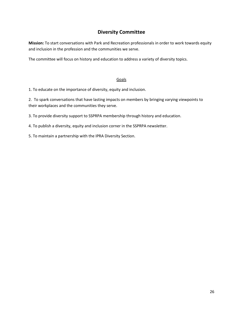# **Diversity Committee**

**Mission:** To start conversations with Park and Recreation professionals in order to work towards equity and inclusion in the profession and the communities we serve.

The committee will focus on history and education to address a variety of diversity topics.

#### **Goals**

1. To educate on the importance of diversity, equity and inclusion.

2. To spark conversations that have lasting impacts on members by bringing varying viewpoints to their workplaces and the communities they serve.

3. To provide diversity support to SSPRPA membership through history and education.

4. To publish a diversity, equity and inclusion corner in the SSPRPA newsletter.

5. To maintain a partnership with the IPRA Diversity Section.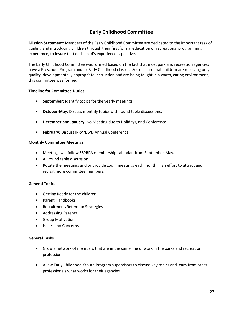# **Early Childhood Committee**

**Mission Statement:** Members of the Early Childhood Committee are dedicated to the important task of guiding and introducing children through their first formal education or recreational programming experience, to insure that each child's experience is positive.

The Early Childhood Committee was formed based on the fact that most park and recreation agencies have a Preschool Program and or Early Childhood classes. So to insure that children are receiving only quality, developmentally appropriate instruction and are being taught in a warm, caring environment, this committee was formed.

#### **Timeline for Committee Duties:**

- **September:** Identify topics for the yearly meetings.
- **October-May**: Discuss monthly topics with round table discussions.
- **December and January**: No Meeting due to Holidays, and Conference.
- **February**: Discuss IPRA/IAPD Annual Conference

#### **Monthly Committee Meetings:**

- Meetings will follow SSPRPA membership calendar, from September-May.
- All round table discussion.
- Rotate the meetings and or provide zoom meetings each month in an effort to attract and recruit more committee members.

#### **General Topics:**

- Getting Ready for the children
- Parent Handbooks
- Recruitment/Retention Strategies
- Addressing Parents
- Group Motivation
- Issues and Concerns

#### **General Tasks**

- Grow a network of members that are in the same line of work in the parks and recreation profession.
- Allow Early Childhood /Youth Program supervisors to discuss key topics and learn from other professionals what works for their agencies.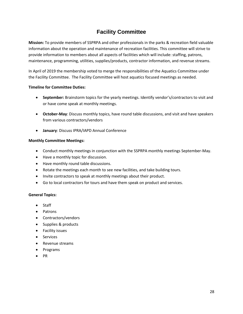# **Facility Committee**

**Mission:** To provide members of SSPRPA and other professionals in the parks & recreation field valuable information about the operation and maintenance of recreation facilities. This committee will strive to provide information to members about all aspects of facilities which will include: staffing, patrons, maintenance, programming, utilities, supplies/products, contractor information, and revenue streams.

In April of 2019 the membership voted to merge the responsibilities of the Aquatics Committee under the Facility Committee. The Facility Committee will host aquatics focused meetings as needed.

#### **Timeline for Committee Duties:**

- **September:** Brainstorm topics for the yearly meetings. Identify vendor's/contractors to visit and or have come speak at monthly meetings.
- **October-May**: Discuss monthly topics, have round table discussions, and visit and have speakers from various contractors/vendors
- **January**: Discuss IPRA/IAPD Annual Conference

#### **Monthly Committee Meetings:**

- Conduct monthly meetings in conjunction with the SSPRPA monthly meetings September-May.
- Have a monthly topic for discussion.
- Have monthly round table discussions.
- Rotate the meetings each month to see new facilities, and take building tours.
- Invite contractors to speak at monthly meetings about their product.
- Go to local contractors for tours and have them speak on product and services.

#### **General Topics:**

- Staff
- Patrons
- Contractors/vendors
- Supplies & products
- Facility issues
- Services
- Revenue streams
- Programs
- PR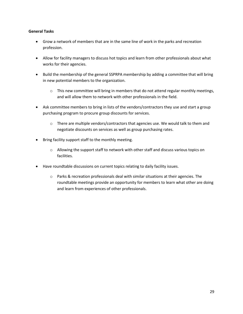#### **General Tasks**

- Grow a network of members that are in the same line of work in the parks and recreation profession.
- Allow for facility managers to discuss hot topics and learn from other professionals about what works for their agencies.
- Build the membership of the general SSPRPA membership by adding a committee that will bring in new potential members to the organization.
	- $\circ$  This new committee will bring in members that do not attend regular monthly meetings, and will allow them to network with other professionals in the field.
- Ask committee members to bring in lists of the vendors/contractors they use and start a group purchasing program to procure group discounts for services.
	- $\circ$  There are multiple vendors/contractors that agencies use. We would talk to them and negotiate discounts on services as well as group purchasing rates.
- Bring facility support staff to the monthly meeting.
	- $\circ$  Allowing the support staff to network with other staff and discuss various topics on facilities.
- Have roundtable discussions on current topics relating to daily facility issues.
	- o Parks & recreation professionals deal with similar situations at their agencies. The roundtable meetings provide an opportunity for members to learn what other are doing and learn from experiences of other professionals.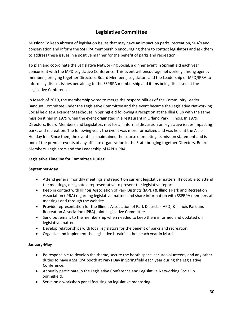# **Legislative Committee**

**Mission:** To keep abreast of legislation issues that may have an impact on parks, recreation, SRA's and conservation and inform the SSPRPA membership encouraging them to contact legislators and ask them to address these issues in a positive manner for the benefit of parks and recreation.

To plan and coordinate the Legislative Networking Social, a dinner event in Springfield each year concurrent with the IAPD Legislative Conference. This event will encourage networking among agency members, bringing together Directors, Board Members, Legislators and the Leadership of IAPD/IPRA to informally discuss issues pertaining to the SSPRPA membership and items being discussed at the Legislative Conference.

In March of 2019, the membership voted to merge the responsibilities of the Community Leader Banquet Committee under the Legislative Committee and the event became the Legislative Networking Social held at Alexander Steakhouse in Springfield following a reception at the Illini Club with the same mission it had in 1979 when the event originated in a restaurant in Orland Park, Illinois. In 1979, Directors, Board Members and Legislators met for an informal discussion on legislative issues impacting parks and recreation. The following year, the event was more formalized and was held at the Alsip Holiday Inn. Since then, the event has maintained the course of meeting its mission statement and is one of the premier events of any affiliate organization in the State bringing together Directors, Board Members, Legislators and the Leadership of IAPD/IPRA.

#### **Legislative Timeline for Committee Duties:**

#### **September-May**

- Attend general monthly meetings and report on current legislative matters. If not able to attend the meetings, designate a representative to present the legislative report.
- Keep in contact with Illinois Association of Park Districts (IAPD) & Illinois Park and Recreation Association (IPRA) regarding legislative matters and share information with SSPRPA members at meetings and through the website
- Provide representation for the Illinois Association of Park Districts (IAPD) & Illinois Park and Recreation Association (IPRA) Joint Legislative Committee
- Send out emails to the membership when needed to keep them informed and updated on legislative matters.
- Develop relationships with local legislators for the benefit of parks and recreation.
- Organize and implement the legislative breakfast, held each year in March

#### **January-May**

- Be responsible to develop the theme, secure the booth space, secure volunteers, and any other duties to have a SSPRPA booth at Parks Day in Springfield each year during the Legislative Conference.
- Annually participate in the Legislative Conference and Legislative Networking Social in Springfield.
- Serve on a workshop panel focusing on legislative mentoring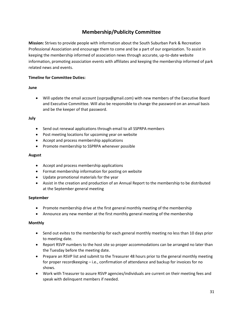# **Membership/Publicity Committee**

**Mission:** Strives to provide people with information about the South Suburban Park & Recreation Professional Association and encourage them to come and be a part of our organization. To assist in keeping the membership informed of association news through accurate, up-to-date website information, promoting association events with affiliates and keeping the membership informed of park related news and events.

#### **Timeline for Committee Duties:**

#### **June**

• Will update the email account (ssprpa@gmail.com) with new members of the Executive Board and Executive Committee. Will also be responsible to change the password on an annual basis and be the keeper of that password.

#### **July**

- Send out renewal applications through email to all SSPRPA members
- Post meeting locations for upcoming year on website
- Accept and process membership applications
- Promote membership to SSPRPA whenever possible

#### **August**

- Accept and process membership applications
- Format membership information for posting on website
- Update promotional materials for the year
- Assist in the creation and production of an Annual Report to the membership to be distributed at the September general meeting

#### **September**

- Promote membership drive at the first general monthly meeting of the membership
- Announce any new member at the first monthly general meeting of the membership

#### **Monthly**

- Send out evites to the membership for each general monthly meeting no less than 10 days prior to meeting date.
- Report RSVP numbers to the host site so proper accommodations can be arranged no later than the Tuesday before the meeting date.
- Prepare an RSVP list and submit to the Treasurer 48 hours prior to the general monthly meeting for proper recordkeeping – i.e., confirmation of attendance and backup for invoices for no shows.
- Work with Treasurer to assure RSVP agencies/individuals are current on their meeting fees and speak with delinquent members if needed.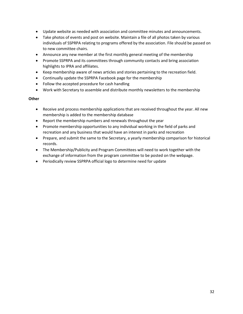- Update website as needed with association and committee minutes and announcements.
- Take photos of events and post on website. Maintain a file of all photos taken by various individuals of SSPRPA relating to programs offered by the association. File should be passed on to new committee chairs.
- Announce any new member at the first monthly general meeting of the membership
- Promote SSPRPA and its committees through community contacts and bring association highlights to IPRA and affiliates.
- Keep membership aware of news articles and stories pertaining to the recreation field.
- Continually update the SSPRPA Facebook page for the membership
- Follow the accepted procedure for cash handling
- Work with Secretary to assemble and distribute monthly newsletters to the membership

#### **Other**

- Receive and process membership applications that are received throughout the year. All new membership is added to the membership database
- Report the membership numbers and renewals throughout the year
- Promote membership opportunities to any individual working in the field of parks and recreation and any business that would have an interest in parks and recreation
- Prepare, and submit the same to the Secretary, a yearly membership comparison for historical records.
- The Membership/Publicity and Program Committees will need to work together with the exchange of information from the program committee to be posted on the webpage.
- Periodically review SSPRPA official logo to determine need for update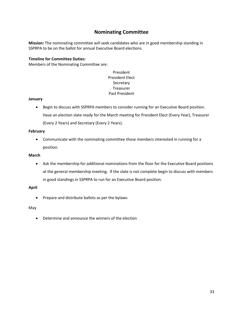# **Nominating Committee**

**Mission:** The nominating committee will seek candidates who are in good membership standing in SSPRPA to be on the ballot for annual Executive Board elections.

#### **Timeline for Committee Duties:**

Members of the Nominating Committee are:

#### President President Elect Secretary Treasurer Past President

#### **January**

• Begin to discuss with SSPRPA members to consider running for an Executive Board position. Have an election slate ready for the March meeting for President Elect (Every Year), Treasurer (Every 2 Years) and Secretary (Every 2 Years).

#### **February**

• Communicate with the nominating committee those members interested in running for a position.

#### **March**

• Ask the membership for additional nominations from the floor for the Executive Board positions at the general membership meeting. If the slate is not complete begin to discuss with members in good standings in SSPRPA to run for an Executive Board position.

#### **April**

• Prepare and distribute ballots as per the bylaws

#### May

• Determine and announce the winners of the election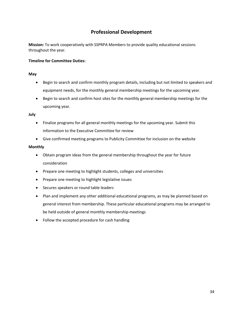# **Professional Development**

**Mission:** To work cooperatively with SSPRPA Members to provide quality educational sessions throughout the year.

#### **Timeline for Committee Duties:**

#### **May**

- Begin to search and confirm monthly program details, including but not limited to speakers and equipment needs, for the monthly general membership meetings for the upcoming year.
- Begin to search and confirm host sites for the monthly general membership meetings for the upcoming year.

#### **July**

- Finalize programs for all general monthly meetings for the upcoming year. Submit this information to the Executive Committee for review
- Give confirmed meeting programs to Publicity Committee for inclusion on the website

#### **Monthly**

- Obtain program ideas from the general membership throughout the year for future consideration
- Prepare one meeting to highlight students, colleges and universities
- Prepare one meeting to highlight legislative issues
- Secures speakers or round table leaders
- Plan and implement any other additional educational programs, as may be planned based on general interest from membership. These particular educational programs may be arranged to be held outside of general monthly membership meetings
- Follow the accepted procedure for cash handling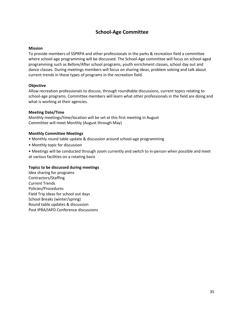# **School-Age Committee**

#### **Mission**

To provide members of SSPRPA and other professionals in the parks & recreation field a committee where school-age programming will be discussed. The School-Age committee will focus on school-aged programming such as Before/After school programs, youth enrichment classes, school day out and dance classes. During meetings members will focus on sharing ideas, problem solving and talk about current trends in these types of programs in the recreation field.

#### **Objective**

Allow recreation professionals to discuss, through roundtable discussions, current topics relating to school-age programs. Committee members will learn what other professionals in the field are doing and what is working at their agencies.

#### **Meeting Date/Time**

Monthly meetings/time/location will be set at this first meeting in August Committee will meet Monthly (August through May)

#### **Monthly Committee Meetings**

- Monthly round table update & discussion around school-age programming
- Monthly topic for discussion
- Meetings will be conducted through zoom currently and switch to in-person when possible and meet at various facilities on a rotating basis

#### **Topics to be discussed during meetings**

Idea sharing for programs Contractors/Staffing Current Trends Policies/Procedures Field Trip Ideas for school out days School Breaks (winter/spring) Round table updates & discussion Post IPRA/IAPD Conference discussions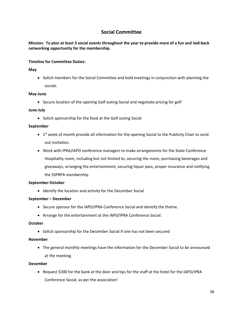# **Social Committee**

**Mission: To plan at least 3 social events throughout the year to provide more of a fun and laid-back networking opportunity for the membership.**

#### **Timeline for Committee Duties:**

#### **May**

• Solicit members for the Social Committee and hold meetings in conjunction with planning the socials.

#### **May-June**

• Secure location of the opening Golf outing Social and negotiate pricing for golf

#### **June-July**

• Solicit sponsorship for the food at the Golf outing Social

#### **September**

- $\bullet$  1<sup>st</sup> week of month provide all information for the opening Social to the Publicity Chair to send out invitation.
- Work with IPRA/IAPD conference managers to make arrangements for the State Conference Hospitality room, including but not limited to, securing the room, purchasing beverages and giveaways, arranging the entertainment, securing liquor pass, proper insurance and notifying the SSPRPA membership

#### **September-October**

• Identify the location and activity for the December Social

#### **September – December**

- Secure sponsor for the IAPD/IPRA Conference Social and identify the theme.
- Arrange for the entertainment at the IAPD/IPRA Conference Social.

#### **October**

• Solicit sponsorship for the December Social if one has not been secured

#### **November**

• The general monthly meetings have the information for the December Social to be announced at the meeting.

#### **December**

• Request \$300 for the bank at the door and tips for the staff at the hotel for the IAPD/IPRA Conference Social, as per the association'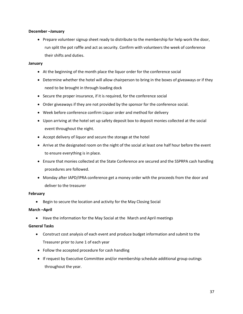#### **December –January**

• Prepare volunteer signup sheet ready to distribute to the membership for help work the door, run split the pot raffle and act as security. Confirm with volunteers the week of conference their shifts and duties.

#### **January**

- At the beginning of the month place the liquor order for the conference social
- Determine whether the hotel will allow chairperson to bring in the boxes of giveaways or if they need to be brought in through loading dock
- Secure the proper insurance, if it is required, for the conference social
- Order giveaways if they are not provided by the sponsor for the conference social.
- Week before conference confirm Liquor order and method for delivery
- Upon arriving at the hotel set up safety deposit box to deposit monies collected at the social event throughout the night.
- Accept delivery of liquor and secure the storage at the hotel
- Arrive at the designated room on the night of the social at least one half hour before the event to ensure everything is in place.
- Ensure that monies collected at the State Conference are secured and the SSPRPA cash handling procedures are followed.
- Monday after IAPD/IPRA conference get a money order with the proceeds from the door and deliver to the treasurer

#### **February**

• Begin to secure the location and activity for the May Closing Social

#### **March –April**

• Have the information for the May Social at the March and April meetings

#### **General Tasks**

- Construct cost analysis of each event and produce budget information and submit to the Treasurer prior to June 1 of each year
- Follow the accepted procedure for cash handling
- If request by Executive Committee and/or membership schedule additional group outings throughout the year.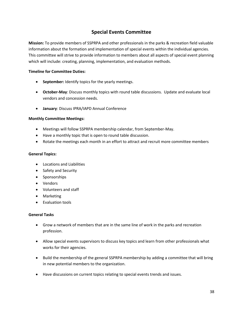# **Special Events Committee**

**Mission:** To provide members of SSPRPA and other professionals in the parks & recreation field valuable information about the formation and implementation of special events within the individual agencies. This committee will strive to provide information to members about all aspects of special event planning which will include: creating, planning, implementation, and evaluation methods.

#### **Timeline for Committee Duties:**

- **September:** Identify topics for the yearly meetings.
- **October-May**: Discuss monthly topics with round table discussions. Update and evaluate local vendors and concession needs.
- **January**: Discuss IPRA/IAPD Annual Conference

#### **Monthly Committee Meetings:**

- Meetings will follow SSPRPA membership calendar, from September-May.
- Have a monthly topic that is open to round table discussion.
- Rotate the meetings each month in an effort to attract and recruit more committee members

#### **General Topics:**

- Locations and Liabilities
- Safety and Security
- Sponsorships
- Vendors
- Volunteers and staff
- Marketing
- Evaluation tools

#### **General Tasks**

- Grow a network of members that are in the same line of work in the parks and recreation profession.
- Allow special events supervisors to discuss key topics and learn from other professionals what works for their agencies.
- Build the membership of the general SSPRPA membership by adding a committee that will bring in new potential members to the organization.
- Have discussions on current topics relating to special events trends and issues.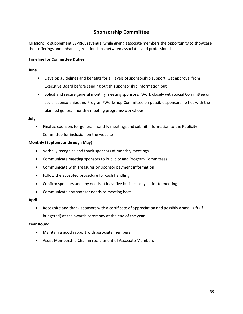# **Sponsorship Committee**

**Mission:** To supplement SSPRPA revenue, while giving associate members the opportunity to showcase their offerings and enhancing relationships between associates and professionals.

#### **Timeline for Committee Duties:**

#### **June**

- Develop guidelines and benefits for all levels of sponsorship support. Get approval from Executive Board before sending out this sponsorship information out
- Solicit and secure general monthly meeting sponsors. Work closely with Social Committee on social sponsorships and Program/Workshop Committee on possible sponsorship ties with the planned general monthly meeting programs/workshops

#### **July**

• Finalize sponsors for general monthly meetings and submit information to the Publicity Committee for inclusion on the website

#### **Monthly (September through May)**

- Verbally recognize and thank sponsors at monthly meetings
- Communicate meeting sponsors to Publicity and Program Committees
- Communicate with Treasurer on sponsor payment information
- Follow the accepted procedure for cash handling
- Confirm sponsors and any needs at least five business days prior to meeting
- Communicate any sponsor needs to meeting host

#### **April**

• Recognize and thank sponsors with a certificate of appreciation and possibly a small gift (if budgeted) at the awards ceremony at the end of the year

#### **Year Round**

- Maintain a good rapport with associate members
- Assist Membership Chair in recruitment of Associate Members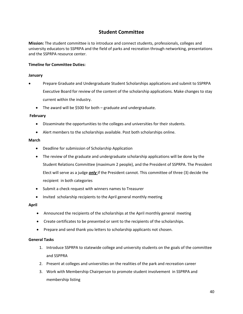# **Student Committee**

**Mission:** The student committee is to introduce and connect students, professionals, colleges and university educators to SSPRPA and the field of parks and recreation through networking, presentations and the SSPRPA resource center.

#### **Timeline for Committee Duties:**

#### **January**

- Prepare Graduate and Undergraduate Student Scholarships applications and submit to SSPRPA Executive Board for review of the content of the scholarship applications. Make changes to stay current within the industry.
	- The award will be \$500 for both graduate and undergraduate.

#### **February**

- Disseminate the opportunities to the colleges and universities for their students.
- Alert members to the scholarships available. Post both scholarships online.

#### **March**

- Deadline for submission of Scholarship Application
- The review of the graduate and undergraduate scholarship applications will be done by the Student Relations Committee (maximum 2 people), and the President of SSPRPA. The President Elect will serve as a judge *only* if the President cannot. This committee of three (3) decide the recipient in both categories
- Submit a check request with winners names to Treasurer
- Invited scholarship recipients to the April general monthly meeting

#### **April**

- Announced the recipients of the scholarships at the April monthly general meeting
- Create certificates to be presented or sent to the recipients of the scholarships.
- Prepare and send thank you letters to scholarship applicants not chosen.

#### **General Tasks**

- 1. Introduce SSPRPA to statewide college and university students on the goals of the committee and SSPPRA
- 2. Present at colleges and universities on the realities of the park and recreation career
- 3. Work with Membership Chairperson to promote student involvement in SSPRPA and membership listing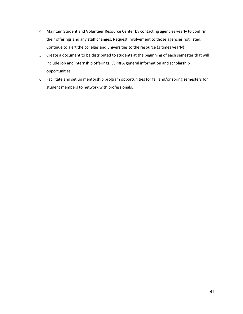- 4. Maintain Student and Volunteer Resource Center by contacting agencies yearly to confirm their offerings and any staff changes. Request involvement to those agencies not listed. Continue to alert the colleges and universities to the resource (3 times yearly)
- 5. Create a document to be distributed to students at the beginning of each semester that will include job and internship offerings, SSPRPA general information and scholarship opportunities.
- 6. Facilitate and set up mentorship program opportunities for fall and/or spring semesters for student members to network with professionals.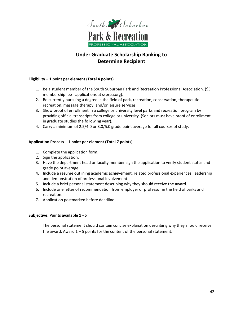

# **Under Graduate Scholarship Ranking to Determine Recipient**

#### **Eligibility – 1 point per element (Total 4 points)**

- 1. Be a student member of the South Suburban Park and Recreation Professional Association. (\$5 membership fee - applications at ssprpa.org).
- 2. Be currently pursuing a degree in the field of park, recreation, conservation, therapeutic recreation, massage therapy, and/or leisure services.
- 3. Show proof of enrollment in a college or university level parks and recreation program by providing official transcripts from college or university. (Seniors must have proof of enrollment in graduate studies the following year).
- 4. Carry a minimum of 2.5/4.0 or 3.0/5.0 grade point average for all courses of study.

#### **Application Process – 1 point per element (Total 7 points)**

- 1. Complete the application form.
- 2. Sign the application.
- 3. Have the department head or faculty member sign the application to verify student status and grade point average.
- 4. Include a resume outlining academic achievement, related professional experiences, leadership and demonstration of professional involvement.
- 5. Include a brief personal statement describing why they should receive the award.
- 6. Include one letter of recommendation from employer or professor in the field of parks and recreation.
- 7. Application postmarked before deadline

#### **Subjective: Points available 1 - 5**

The personal statement should contain concise explanation describing why they should receive the award. Award  $1 - 5$  points for the content of the personal statement.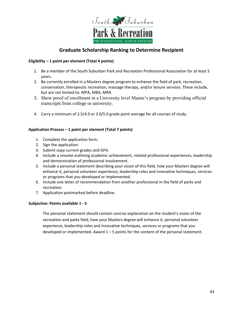

# **Graduate Scholarship Ranking to Determine Recipient**

#### **Eligibility – 1 point per element (Total 4 points)**

- 1. Be a member of the South Suburban Park and Recreation Professional Association for at least 5 years.
- 2. Be currently enrolled in a Masters degree program to enhance the field of park, recreation, conservation, therapeutic recreation, massage therapy, and/or leisure services. These include, but are not limited to: MPA, MBA, MRA
- 3. Show proof of enrollment in a University level Master's program by providing official transcripts from college or university.
- 4. Carry a minimum of 2.5/4.0 or 3.0/5.0 grade point average for all courses of study.

#### **Application Process – 1 point per element (Total 7 points)**

- 1. Complete the application form.
- 2. Sign the application.
- 3. Submit copy current grades and GPA.
- 4. Include a resume outlining academic achievement, related professional experiences, leadership and demonstration of professional involvement.
- 5. Include a personal statement describing your vision of this field, how your Masters degree will enhance it, personal volunteer experience, leadership roles and innovative techniques, services or programs that you developed or implemented.
- 6. Include one letter of recommendation from another professional in the field of parks and recreation.
- 7. Application postmarked before deadline.

#### **Subjective: Points available 1 - 5**

The personal statement should contain concise explanation on the student's vision of the recreation and parks field, how your Masters degree will enhance it, personal volunteer experience, leadership roles and innovative techniques, services or programs that you developed or implemented. Award  $1 - 5$  points for the content of the personal statement.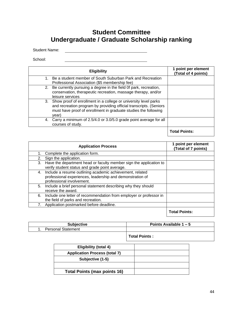# **Student Committee Undergraduate / Graduate Scholarship ranking**

<u> 1980 - Johann Barbara, martin amerikan ba</u>

Student Name:

School:

| <b>Eligibility</b>                                                                                                                                                                                                   | 1 point per element<br>(Total of 4 points) |
|----------------------------------------------------------------------------------------------------------------------------------------------------------------------------------------------------------------------|--------------------------------------------|
| 1. Be a student member of South Suburban Park and Recreation<br>Professional Association (\$5 membership fee)                                                                                                        |                                            |
| 2. Be currently pursuing a degree in the field 0f park, recreation,<br>conservation, therapeutic recreation, massage therapy, and/or<br>leisure services                                                             |                                            |
| 3. Show proof of enrollment in a college or university level parks<br>and recreation program by providing official transcripts. (Seniors<br>must have proof of enrollment in graduate studies the following<br>year) |                                            |
| 4. Carry a minimum of 2.5/4.0 or 3.0/5.0 grade point average for all<br>courses of study.                                                                                                                            |                                            |
|                                                                                                                                                                                                                      | <b>Total Points:</b>                       |

| <b>Application Process</b>                                                                                                                               | 1 point per element<br>(Total of 7 points) |
|----------------------------------------------------------------------------------------------------------------------------------------------------------|--------------------------------------------|
| Complete the application form.                                                                                                                           |                                            |
| Sign the application.<br>2.                                                                                                                              |                                            |
| 3.<br>Have the department head or faculty member sign the application to<br>verify student status and grade point average.                               |                                            |
| Include a resume outlining academic achievement, related<br>4.<br>professional experiences, leadership and demonstration of<br>professional involvement. |                                            |
| Include a brief personal statement describing why they should<br>5.<br>receive the award.                                                                |                                            |
| Include one letter of recommendation from employer or professor in<br>6.<br>the field of parks and recreation.                                           |                                            |
| Application postmarked before deadline.<br>7.                                                                                                            |                                            |
|                                                                                                                                                          | <b>Total Points:</b>                       |

| <b>Subjective</b>         | Points Available $1 - 5$ |
|---------------------------|--------------------------|
| <b>Personal Statement</b> |                          |
|                           | <b>Total Points:</b>     |

| Eligibility (total 4)                |  |
|--------------------------------------|--|
| <b>Application Process (total 7)</b> |  |
| Subjective (1-5)                     |  |
|                                      |  |
| <b>Total Points (max points 16)</b>  |  |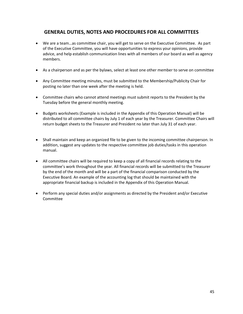# **GENERAL DUTIES, NOTES AND PROCEDURES FOR ALL COMMITTEES**

- We are a team…as committee chair, you will get to serve on the Executive Committee. As part of the Executive Committee, you will have opportunities to express your opinions, provide advice, and help establish communication lines with all members of our board as well as agency members.
- As a chairperson and as per the bylaws, select at least one other member to serve on committee
- Any Committee meeting minutes, must be submitted to the Membership/Publicity Chair for posting no later than one week after the meeting is held.
- Committee chairs who cannot attend meetings must submit reports to the President by the Tuesday before the general monthly meeting.
- Budgets worksheets (Example is included in the Appendix of this Operation Manual) will be distributed to all committee chairs by July 1 of each year by the Treasurer. Committee Chairs will return budget sheets to the Treasurer and President no later than July 31 of each year.
- Shall maintain and keep an organized file to be given to the incoming committee chairperson. In addition, suggest any updates to the respective committee job duties/tasks in this operation manual.
- All committee chairs will be required to keep a copy of all financial records relating to the committee's work throughout the year. All financial records will be submitted to the Treasurer by the end of the month and will be a part of the financial comparison conducted by the Executive Board. An example of the accounting log that should be maintained with the appropriate financial backup is included in the Appendix of this Operation Manual.
- Perform any special duties and/or assignments as directed by the President and/or Executive Committee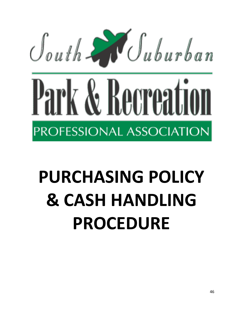

# **PURCHASING POLICY & CASH HANDLING PROCEDURE**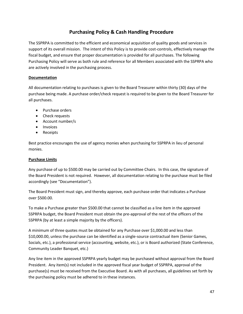# **Purchasing Policy & Cash Handling Procedure**

The SSPRPA is committed to the efficient and economical acquisition of quality goods and services in support of its overall mission. The intent of this Policy is to provide cost-controls, effectively manage the fiscal budget, and ensure that proper documentation is provided for all purchases. The following Purchasing Policy will serve as both rule and reference for all Members associated with the SSPRPA who are actively involved in the purchasing process.

#### **Documentation**

All documentation relating to purchases is given to the Board Treasurer within thirty (30) days of the purchase being made. A purchase order/check request is required to be given to the Board Treasurer for all purchases.

- Purchase orders
- Check requests
- Account number/s
- Invoices
- Receipts

Best practice encourages the use of agency monies when purchasing for SSPRPA in lieu of personal monies.

#### **Purchase Limits**

Any purchase of up to \$500.00 may be carried out by Committee Chairs. In this case, the signature of the Board President is not required. However, all documentation relating to the purchase must be filed accordingly (see "Documentation").

The Board President must sign, and thereby approve, each purchase order that indicates a Purchase over \$500.00.

To make a Purchase greater than \$500.00 that cannot be classified as a line item in the approved SSPRPA budget, the Board President must obtain the pre-approval of the rest of the officers of the SSPRPA (by at least a simple majority by the officers).

A minimum of three quotes must be obtained for any Purchase over \$1,000.00 and less than \$10,000.00, unless the purchase can be identified as a single-source contractual item (Senior Games, Socials, etc.), a professional service (accounting, website, etc.), or is Board authorized (State Conference, Community Leader Banquet, etc.)

Any line item in the approved SSPRPA yearly budget may be purchased without approval from the Board President. Any item(s) not included in the approved fiscal year budget of SSPRPA, approval of the purchase(s) must be received from the Executive Board. As with all purchases, all guidelines set forth by the purchasing policy must be adhered to in these instances.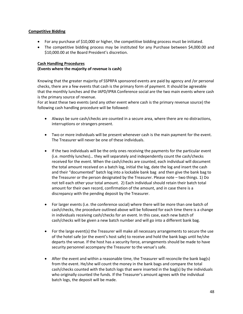#### **Competitive Bidding**

- For any purchase of \$10,000 or higher, the competitive bidding process must be initiated.
- The competitive bidding process may be instituted for any Purchase between \$4,000.00 and \$10,000.00 at the Board President's discretion.

#### **Cash Handling Procedures**

#### **(Events where the majority of revenue is cash)**

Knowing that the greater majority of SSPRPA sponsored events are paid by agency and /or personal checks, there are a few events that cash is the primary form of payment. It should be agreeable that the monthly lunches and the IAPD/IPRA Conference social are the two main events where cash is the primary source of revenue.

For at least these two events (and any other event where cash is the primary revenue source) the following cash handling procedure will be followed:

- Always be sure cash/checks are counted in a secure area, where there are no distractions, interruptions or strangers present.
- Two or more individuals will be present whenever cash is the main payment for the event. The Treasurer will never be one of these individuals.
- If the two individuals will be the only ones receiving the payments for the particular event (i.e. monthly lunches)… they will separately and independently count the cash/checks received for the event. When the cash/checks are counted, each individual will document the total amount received on a batch log, initial the log, date the log and insert the cash and their "documented" batch log into a lockable bank bag and then give the bank bag to the Treasurer or the person designated by the Treasurer. Please note – two things. 1) Do not tell each other your total amount. 2) Each individual should retain their batch total amount for their own record, confirmation of the amount, and in case there is a discrepancy with the pending deposit by the Treasurer.
- For larger events (i.e. the conference social) where there will be more than one batch of cash/checks, the procedure outlined above will be followed for each time there is a change in individuals receiving cash/checks for an event. In this case, each new batch of cash/checks will be given a new batch number and will go into a different bank bag.
- For the large event(s) the Treasurer will make all necessary arrangements to secure the use of the hotel safe (or the event's host safe) to receive and hold the bank bags until he/she departs the venue. If the host has a security force, arrangements should be made to have security personnel accompany the Treasurer to the venue's safe.
- After the event and within a reasonable time, the Treasurer will reconcile the bank bag(s) from the event. He/she will count the money in the bank bags and compare the total cash/checks counted with the batch logs that were inserted in the bag(s) by the individuals who originally counted the funds. If the Treasurer's amount agrees with the individual batch logs, the deposit will be made.